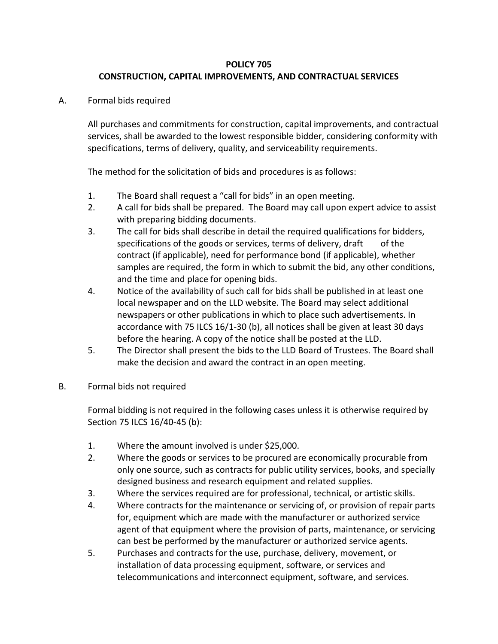## **POLICY 705 CONSTRUCTION, CAPITAL IMPROVEMENTS, AND CONTRACTUAL SERVICES**

A. Formal bids required

All purchases and commitments for construction, capital improvements, and contractual services, shall be awarded to the lowest responsible bidder, considering conformity with specifications, terms of delivery, quality, and serviceability requirements.

The method for the solicitation of bids and procedures is as follows:

- 1. The Board shall request a "call for bids" in an open meeting.
- 2. A call for bids shall be prepared. The Board may call upon expert advice to assist with preparing bidding documents.
- 3. The call for bids shall describe in detail the required qualifications for bidders, specifications of the goods or services, terms of delivery, draft of the contract (if applicable), need for performance bond (if applicable), whether samples are required, the form in which to submit the bid, any other conditions, and the time and place for opening bids.
- 4. Notice of the availability of such call for bids shall be published in at least one local newspaper and on the LLD website. The Board may select additional newspapers or other publications in which to place such advertisements. In accordance with 75 ILCS 16/1-30 (b), all notices shall be given at least 30 days before the hearing. A copy of the notice shall be posted at the LLD.
- 5. The Director shall present the bids to the LLD Board of Trustees. The Board shall make the decision and award the contract in an open meeting.
- B. Formal bids not required

Formal bidding is not required in the following cases unless it is otherwise required by Section 75 ILCS 16/40-45 (b):

- 1. Where the amount involved is under \$25,000.
- 2. Where the goods or services to be procured are economically procurable from only one source, such as contracts for public utility services, books, and specially designed business and research equipment and related supplies.
- 3. Where the services required are for professional, technical, or artistic skills.
- 4. Where contracts for the maintenance or servicing of, or provision of repair parts for, equipment which are made with the manufacturer or authorized service agent of that equipment where the provision of parts, maintenance, or servicing can best be performed by the manufacturer or authorized service agents.
- 5. Purchases and contracts for the use, purchase, delivery, movement, or installation of data processing equipment, software, or services and telecommunications and interconnect equipment, software, and services.